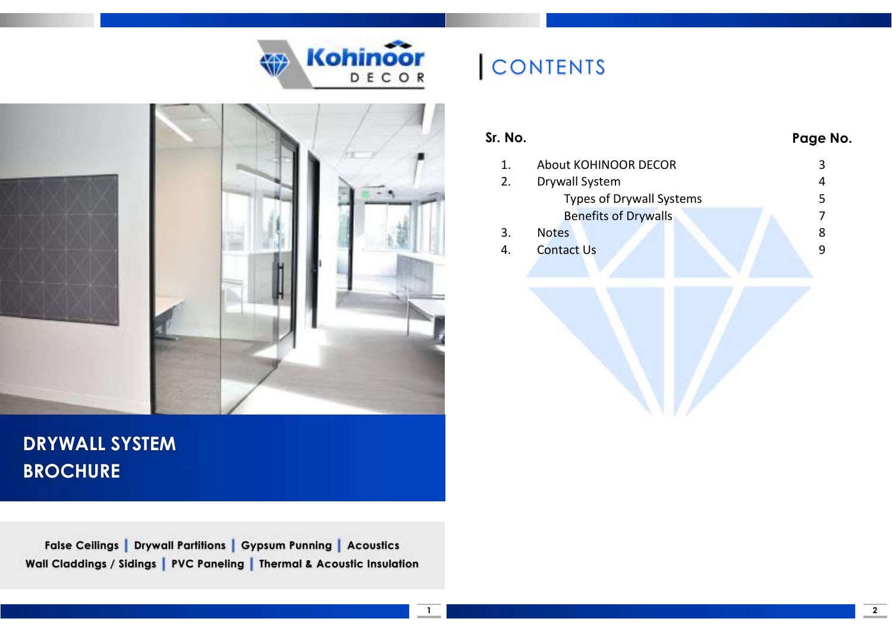



### DRYWALL SYSTEM **BROCHURE**

False Ceilings | Drywall Partitions | Gypsum Punning | Acoustics Wall Claddings / Sidings | PVC Paneling | Thermal & Acoustic Insulation

# **CONTENTS**

| Sr. No. |                                 | Page No. |
|---------|---------------------------------|----------|
| 1.      | About KOHINOOR DECOR            | 3        |
| 2.      | Drywall System                  | 4        |
|         | <b>Types of Drywall Systems</b> | 5        |
|         | <b>Benefits of Drywalls</b>     | 7        |
| 3.      | <b>Notes</b>                    | 8        |
| 4.      | <b>Contact Us</b>               | 9        |
|         |                                 |          |
|         |                                 |          |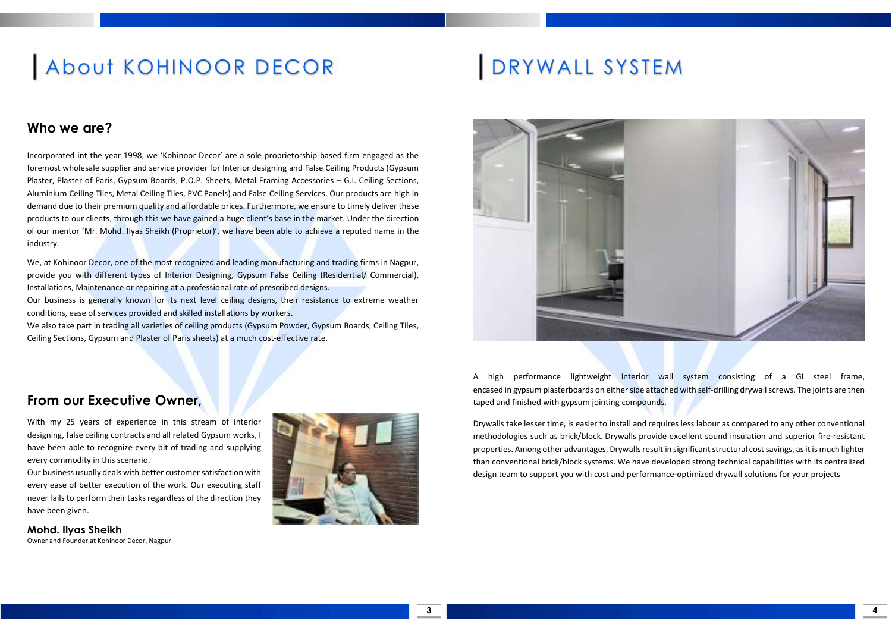## About KOHINOOR DECOR

### Who we are?

Incorporated int the year 1998, we 'Kohinoor Decor' are a sole proprietorship-based firm engaged as the foremost wholesale supplier and service provider for Interior designing and False Ceiling Products (Gypsum Plaster, Plaster of Paris, Gypsum Boards, P.O.P. Sheets, Metal Framing Accessories – G.I. Ceiling Sections, Aluminium Ceiling Tiles, Metal Ceiling Tiles, PVC Panels) and False Ceiling Services. Our products are high in demand due to their premium quality and affordable prices. Furthermore, we ensure to timely deliver these products to our clients, through this we have gained a huge client's base in the market. Under the direction of our mentor 'Mr. Mohd. Ilyas Sheikh (Proprietor)', we have been able to achieve a reputed name in the industry.

We, at Kohinoor Decor, one of the most recognized and leading manufacturing and trading firms in Nagpur, provide you with different types of Interior Designing, Gypsum False Ceiling (Residential/ Commercial), Installations, Maintenance or repairing at a professional rate of prescribed designs.

Our business is generally known for its next level ceiling designs, their resistance to extreme weather conditions, ease of services provided and skilled installations by workers.

We also take part in trading all varieties of ceiling products (Gypsum Powder, Gypsum Boards, Ceiling Tiles, Ceiling Sections, Gypsum and Plaster of Paris sheets) at a much cost-effective rate.

## DRYWALL SYSTEM



A high performance lightweight interior wall system consisting of a GI steel frame, encased in gypsum plasterboards on either side attached with self-drilling drywall screws. The joints are then taped and finished with gypsum jointing compounds.

Drywalls take lesser time, is easier to install and requires less labour as compared to any other conventional methodologies such as brick/block. Drywalls provide excellent sound insulation and superior fire-resistant properties. Among other advantages, Drywalls result in significant structural cost savings, as it is much lighter than conventional brick/block systems. We have developed strong technical capabilities with its centralized design team to support you with cost and performance-optimized drywall solutions for your projects

### From our Executive Owner,

With my 25 years of experience in this stream of interior designing, false ceiling contracts and all related Gypsum works, I have been able to recognize every bit of trading and supplying every commodity in this scenario.

Our business usually deals with better customer satisfaction with every ease of better execution of the work. Our executing staff never fails to perform their tasks regardless of the direction they have been given.

Mohd. Ilyas Sheikh Owner and Founder at Kohinoor Decor, Nagpur

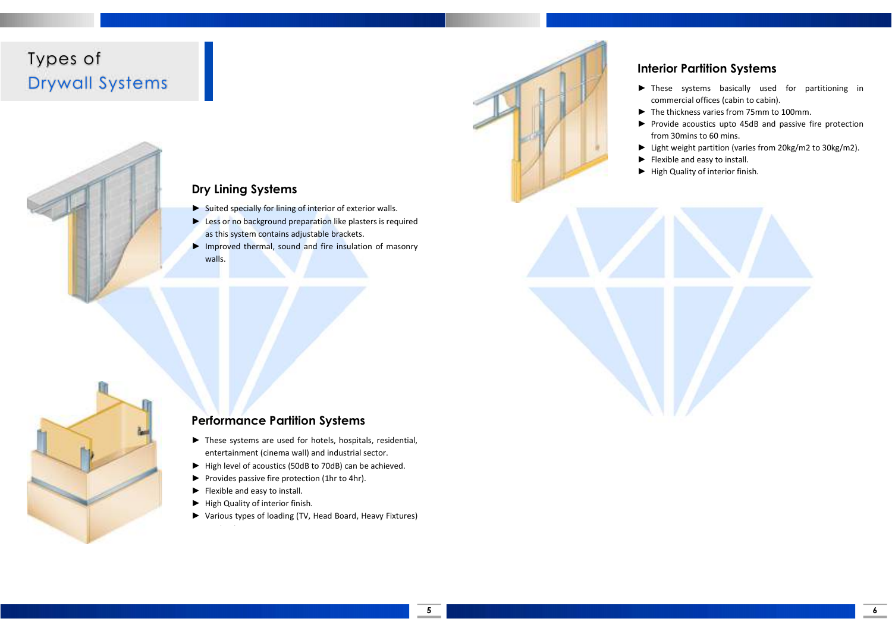### Types of Drywall Systems



#### Interior Partition Systems

- ► These systems basically used for partitioning in commercial offices (cabin to cabin).
- ► The thickness varies from 75mm to 100mm.
- ► Provide acoustics upto 45dB and passive fire protection from 30mins to 60 mins.

6

- ► Light weight partition (varies from 20kg/m2 to 30kg/m2).
- ► Flexible and easy to install.
- ► High Quality of interior finish.

### Dry Lining Systems

- ► Suited specially for lining of interior of exterior walls.
- ► Less or no background preparation like plasters is required as this system contains adjustable brackets.
- ► Improved thermal, sound and fire insulation of masonry walls.



#### Performance Partition Systems

- ► These systems are used for hotels, hospitals, residential, entertainment (cinema wall) and industrial sector.
- ► High level of acoustics (50dB to 70dB) can be achieved.
- ► Provides passive fire protection (1hr to 4hr).

can be done.

- ► Flexible and easy to install.
- ► High Quality of interior finish.
- ► Various types of loading (TV, Head Board, Heavy Fixtures)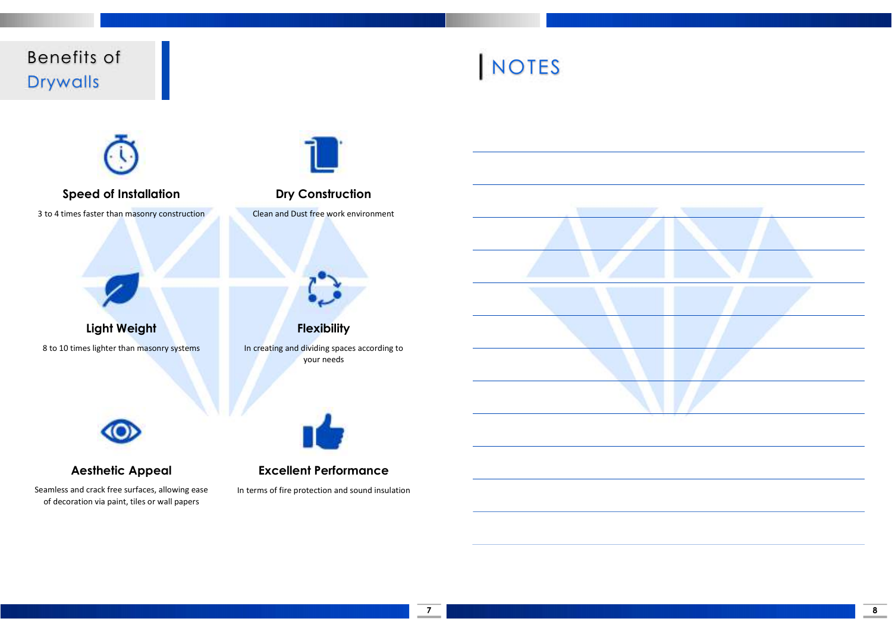Benefits of Drywalls